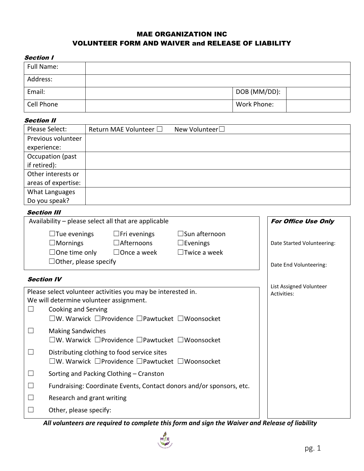# MAE ORGANIZATION INC VOLUNTEER FORM AND WAIVER and RELEASE OF LIABILITY

#### Section I

| ________   |              |  |
|------------|--------------|--|
| Full Name: |              |  |
| Address:   |              |  |
| Email:     | DOB (MM/DD): |  |
| Cell Phone | Work Phone:  |  |

### Section II

| Please Select:      | Return MAE Volunteer $\square$ | New Volunteer□ |
|---------------------|--------------------------------|----------------|
| Previous volunteer  |                                |                |
| experience:         |                                |                |
| Occupation (past    |                                |                |
| if retired):        |                                |                |
| Other interests or  |                                |                |
| areas of expertise: |                                |                |
| What Languages      |                                |                |
| Do you speak?       |                                |                |

### **Section III**

| Availability - please select all that are applicable                                                                                                                                                                                        | <b>For Office Use Only</b>                                                        |  |  |  |
|---------------------------------------------------------------------------------------------------------------------------------------------------------------------------------------------------------------------------------------------|-----------------------------------------------------------------------------------|--|--|--|
| $\Box$ Tue evenings<br>$\Box$ Fri evenings<br>$\square$ Sun afternoon<br>$\square$ Mornings<br>$\Box$ Afternoons<br>$\square$ Evenings<br>$\Box$ One time only<br>$\Box$ Twice a week<br>$\Box$ Once a week<br>$\Box$ Other, please specify | Date Started Volunteering:<br>Date End Volunteering:                              |  |  |  |
| <b>Section IV</b>                                                                                                                                                                                                                           |                                                                                   |  |  |  |
| Please select volunteer activities you may be interested in.<br>We will determine volunteer assignment.<br>Cooking and Serving<br>$\vert \ \ \vert$<br>$\square$ W. Warwick $\square$ Providence $\square$ Pawtucket $\square$ Woonsocket   | List Assigned Volunteer<br>Activities:                                            |  |  |  |
| <b>Making Sandwiches</b><br>$\square$ W. Warwick $\square$ Providence $\square$ Pawtucket $\square$ Woonsocket                                                                                                                              |                                                                                   |  |  |  |
| $\Box$<br>Distributing clothing to food service sites<br>$\square$ W. Warwick $\square$ Providence $\square$ Pawtucket $\square$ Woonsocket                                                                                                 |                                                                                   |  |  |  |
| Sorting and Packing Clothing – Cranston<br>⊔                                                                                                                                                                                                |                                                                                   |  |  |  |
| Fundraising: Coordinate Events, Contact donors and/or sponsors, etc.<br>$\Box$                                                                                                                                                              |                                                                                   |  |  |  |
| Research and grant writing<br>⊔                                                                                                                                                                                                             |                                                                                   |  |  |  |
| $\Box$<br>Other, please specify:<br>بيع مصطلحاتها وعطه ويطرف الرويم وسووك ولطاء وعوا ويعصرونه وعارضه والمسحور ويسرع ويستلون العربا                                                                                                          | $\overline{a}$ Deleteration<br>$\mathcal{L}$ . It is a final set of $\mathcal{L}$ |  |  |  |

*All volunteers are required to complete this form and sign the Waiver and Release of liability*